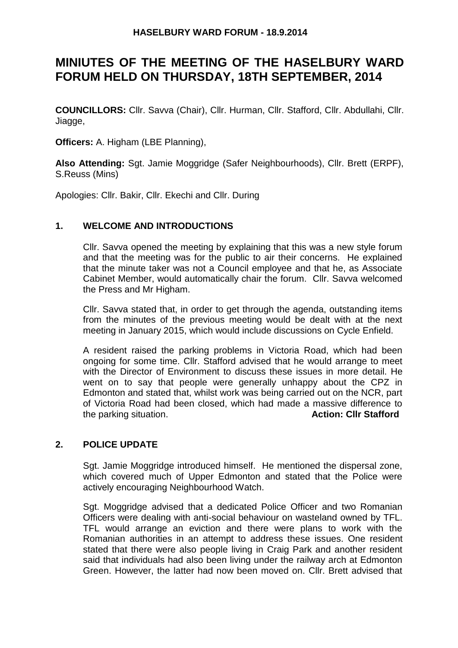## **HASELBURY WARD FORUM - 18.9.2014**

# **MINIUTES OF THE MEETING OF THE HASELBURY WARD FORUM HELD ON THURSDAY, 18TH SEPTEMBER, 2014**

**COUNCILLORS:** Cllr. Savva (Chair), Cllr. Hurman, Cllr. Stafford, Cllr. Abdullahi, Cllr. Jiagge,

**Officers:** A. Higham (LBE Planning),

**Also Attending:** Sgt. Jamie Moggridge (Safer Neighbourhoods), Cllr. Brett (ERPF), S.Reuss (Mins)

Apologies: Cllr. Bakir, Cllr. Ekechi and Cllr. During

## **1. WELCOME AND INTRODUCTIONS**

Cllr. Savva opened the meeting by explaining that this was a new style forum and that the meeting was for the public to air their concerns. He explained that the minute taker was not a Council employee and that he, as Associate Cabinet Member, would automatically chair the forum. Cllr. Savva welcomed the Press and Mr Higham.

Cllr. Savva stated that, in order to get through the agenda, outstanding items from the minutes of the previous meeting would be dealt with at the next meeting in January 2015, which would include discussions on Cycle Enfield.

A resident raised the parking problems in Victoria Road, which had been ongoing for some time. Cllr. Stafford advised that he would arrange to meet with the Director of Environment to discuss these issues in more detail. He went on to say that people were generally unhappy about the CPZ in Edmonton and stated that, whilst work was being carried out on the NCR, part of Victoria Road had been closed, which had made a massive difference to the parking situation. **Action: Cllr Stafford**

## **2. POLICE UPDATE**

Sgt. Jamie Moggridge introduced himself. He mentioned the dispersal zone, which covered much of Upper Edmonton and stated that the Police were actively encouraging Neighbourhood Watch.

Sgt. Moggridge advised that a dedicated Police Officer and two Romanian Officers were dealing with anti-social behaviour on wasteland owned by TFL. TFL would arrange an eviction and there were plans to work with the Romanian authorities in an attempt to address these issues. One resident stated that there were also people living in Craig Park and another resident said that individuals had also been living under the railway arch at Edmonton Green. However, the latter had now been moved on. Cllr. Brett advised that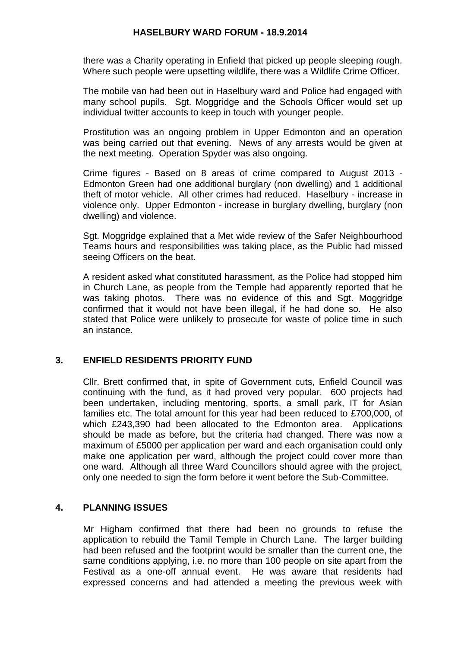#### **HASELBURY WARD FORUM - 18.9.2014**

there was a Charity operating in Enfield that picked up people sleeping rough. Where such people were upsetting wildlife, there was a Wildlife Crime Officer.

The mobile van had been out in Haselbury ward and Police had engaged with many school pupils. Sgt. Moggridge and the Schools Officer would set up individual twitter accounts to keep in touch with younger people.

Prostitution was an ongoing problem in Upper Edmonton and an operation was being carried out that evening. News of any arrests would be given at the next meeting. Operation Spyder was also ongoing.

Crime figures - Based on 8 areas of crime compared to August 2013 - Edmonton Green had one additional burglary (non dwelling) and 1 additional theft of motor vehicle. All other crimes had reduced. Haselbury - increase in violence only. Upper Edmonton - increase in burglary dwelling, burglary (non dwelling) and violence.

Sgt. Moggridge explained that a Met wide review of the Safer Neighbourhood Teams hours and responsibilities was taking place, as the Public had missed seeing Officers on the beat.

A resident asked what constituted harassment, as the Police had stopped him in Church Lane, as people from the Temple had apparently reported that he was taking photos. There was no evidence of this and Sgt. Moggridge confirmed that it would not have been illegal, if he had done so. He also stated that Police were unlikely to prosecute for waste of police time in such an instance.

## **3. ENFIELD RESIDENTS PRIORITY FUND**

Cllr. Brett confirmed that, in spite of Government cuts, Enfield Council was continuing with the fund, as it had proved very popular. 600 projects had been undertaken, including mentoring, sports, a small park, IT for Asian families etc. The total amount for this year had been reduced to £700,000, of which £243,390 had been allocated to the Edmonton area. Applications should be made as before, but the criteria had changed. There was now a maximum of £5000 per application per ward and each organisation could only make one application per ward, although the project could cover more than one ward. Although all three Ward Councillors should agree with the project, only one needed to sign the form before it went before the Sub-Committee.

## **4. PLANNING ISSUES**

Mr Higham confirmed that there had been no grounds to refuse the application to rebuild the Tamil Temple in Church Lane. The larger building had been refused and the footprint would be smaller than the current one, the same conditions applying, i.e. no more than 100 people on site apart from the Festival as a one-off annual event. He was aware that residents had expressed concerns and had attended a meeting the previous week with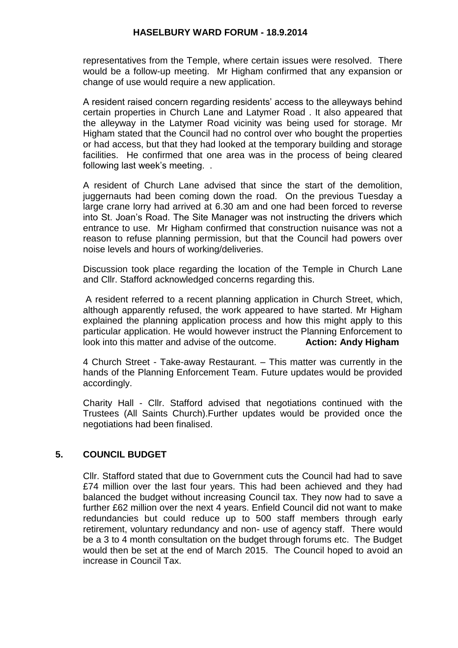#### **HASELBURY WARD FORUM - 18.9.2014**

representatives from the Temple, where certain issues were resolved. There would be a follow-up meeting. Mr Higham confirmed that any expansion or change of use would require a new application.

A resident raised concern regarding residents' access to the alleyways behind certain properties in Church Lane and Latymer Road . It also appeared that the alleyway in the Latymer Road vicinity was being used for storage. Mr Higham stated that the Council had no control over who bought the properties or had access, but that they had looked at the temporary building and storage facilities. He confirmed that one area was in the process of being cleared following last week's meeting. .

A resident of Church Lane advised that since the start of the demolition, juggernauts had been coming down the road. On the previous Tuesday a large crane lorry had arrived at 6.30 am and one had been forced to reverse into St. Joan's Road. The Site Manager was not instructing the drivers which entrance to use. Mr Higham confirmed that construction nuisance was not a reason to refuse planning permission, but that the Council had powers over noise levels and hours of working/deliveries.

Discussion took place regarding the location of the Temple in Church Lane and Cllr. Stafford acknowledged concerns regarding this.

A resident referred to a recent planning application in Church Street, which, although apparently refused, the work appeared to have started. Mr Higham explained the planning application process and how this might apply to this particular application. He would however instruct the Planning Enforcement to look into this matter and advise of the outcome. **Action: Andy Higham**

4 Church Street - Take-away Restaurant. – This matter was currently in the hands of the Planning Enforcement Team. Future updates would be provided accordingly.

Charity Hall - Cllr. Stafford advised that negotiations continued with the Trustees (All Saints Church).Further updates would be provided once the negotiations had been finalised.

## **5. COUNCIL BUDGET**

Cllr. Stafford stated that due to Government cuts the Council had had to save £74 million over the last four years. This had been achieved and they had balanced the budget without increasing Council tax. They now had to save a further £62 million over the next 4 years. Enfield Council did not want to make redundancies but could reduce up to 500 staff members through early retirement, voluntary redundancy and non- use of agency staff. There would be a 3 to 4 month consultation on the budget through forums etc. The Budget would then be set at the end of March 2015. The Council hoped to avoid an increase in Council Tax.